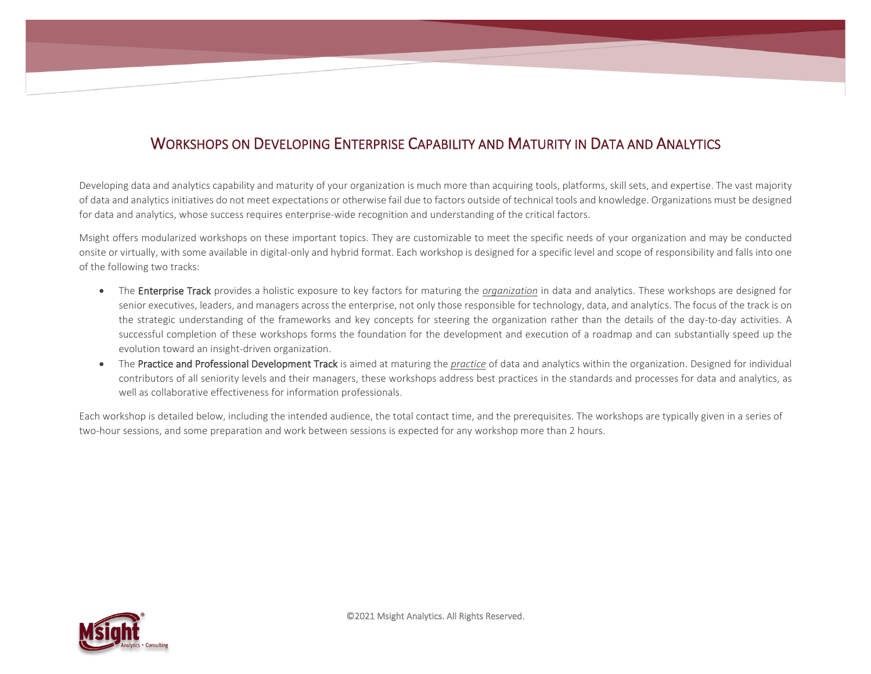## WORKSHOPS ON DEVELOPING ENTERPRISE CAPABILITY AND MATURITY IN DATA AND ANALYTICS

Developing data and analytics capability and maturity of your organization is much more than acquiring tools, platforms, skill sets, and expertise. The vast majority of data and analytics initiatives do not meet expectations or otherwise fail due to factors outside of technical tools and knowledge. Organizations must be designed for data and analytics, whose success requires enterprise-wide recognition and understanding of the critical factors.

Msight offers modularized workshops on these important topics. They are customizable to meet the specific needs of your organization and may be conducted onsite or virtually, with some available in digital-only and hybrid format. Each workshop is designed for a specific level and scope of responsibility and falls into one of the following two tracks:

- The Enterprise Track provides a holistic exposure to key factors for maturing the *organization* in data and analytics. These workshops are designed for senior executives, leaders, and managers across the enterprise, not only those responsible for technology, data, and analytics. The focus of the track is on the strategic understanding of the frameworks and key concepts for steering the organization rather than the details of the day-to-day activities. A successful completion of these workshops forms the foundation for the development and execution of a roadmap and can substantially speed up the evolution toward an insight-driven organization.
- The Practice and Professional Development Track is aimed at maturing the *practice* of data and analytics within the organization. Designed for individual contributors of all seniority levels and their managers, these workshops address best practices in the standards and processes for data and analytics, as well as collaborative effectiveness for information professionals.

Each workshop is detailed below, including the intended audience, the total contact time, and the prerequisites. The workshops are typically given in a series of two-hour sessions, and some preparation and work between sessions is expected for any workshop more than 2 hours.

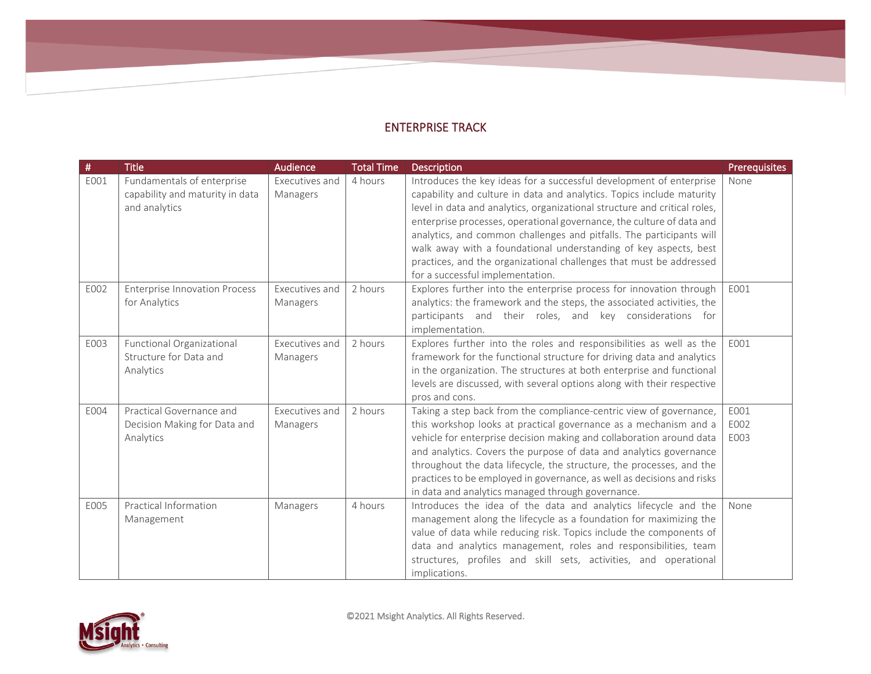## ENTERPRISE TRACK

| $\#$ | <b>Title</b>                         | <b>Audience</b> | <b>Total Time</b> | <b>Description</b>                                                        | <b>Prerequisites</b> |
|------|--------------------------------------|-----------------|-------------------|---------------------------------------------------------------------------|----------------------|
| E001 | Fundamentals of enterprise           | Executives and  | 4 hours           | Introduces the key ideas for a successful development of enterprise       | None                 |
|      | capability and maturity in data      | Managers        |                   | capability and culture in data and analytics. Topics include maturity     |                      |
|      | and analytics                        |                 |                   | level in data and analytics, organizational structure and critical roles, |                      |
|      |                                      |                 |                   | enterprise processes, operational governance, the culture of data and     |                      |
|      |                                      |                 |                   | analytics, and common challenges and pitfalls. The participants will      |                      |
|      |                                      |                 |                   | walk away with a foundational understanding of key aspects, best          |                      |
|      |                                      |                 |                   | practices, and the organizational challenges that must be addressed       |                      |
|      |                                      |                 |                   | for a successful implementation.                                          |                      |
| E002 | <b>Enterprise Innovation Process</b> | Executives and  | 2 hours           | Explores further into the enterprise process for innovation through       | E001                 |
|      | for Analytics                        | Managers        |                   | analytics: the framework and the steps, the associated activities, the    |                      |
|      |                                      |                 |                   | participants and their roles, and key considerations for                  |                      |
|      |                                      |                 |                   | implementation.                                                           |                      |
| E003 | Functional Organizational            | Executives and  | 2 hours           | Explores further into the roles and responsibilities as well as the       | E001                 |
|      | Structure for Data and               | Managers        |                   | framework for the functional structure for driving data and analytics     |                      |
|      | Analytics                            |                 |                   | in the organization. The structures at both enterprise and functional     |                      |
|      |                                      |                 |                   | levels are discussed, with several options along with their respective    |                      |
|      |                                      |                 |                   | pros and cons.                                                            |                      |
| E004 | Practical Governance and             | Executives and  | 2 hours           | Taking a step back from the compliance-centric view of governance,        | E001                 |
|      | Decision Making for Data and         | Managers        |                   | this workshop looks at practical governance as a mechanism and a          | E002                 |
|      | Analytics                            |                 |                   | vehicle for enterprise decision making and collaboration around data      | E003                 |
|      |                                      |                 |                   | and analytics. Covers the purpose of data and analytics governance        |                      |
|      |                                      |                 |                   | throughout the data lifecycle, the structure, the processes, and the      |                      |
|      |                                      |                 |                   | practices to be employed in governance, as well as decisions and risks    |                      |
|      |                                      |                 |                   | in data and analytics managed through governance.                         |                      |
| E005 | Practical Information                | Managers        | 4 hours           | Introduces the idea of the data and analytics lifecycle and the           | None                 |
|      | Management                           |                 |                   | management along the lifecycle as a foundation for maximizing the         |                      |
|      |                                      |                 |                   | value of data while reducing risk. Topics include the components of       |                      |
|      |                                      |                 |                   | data and analytics management, roles and responsibilities, team           |                      |
|      |                                      |                 |                   | structures, profiles and skill sets, activities, and operational          |                      |
|      |                                      |                 |                   | implications.                                                             |                      |

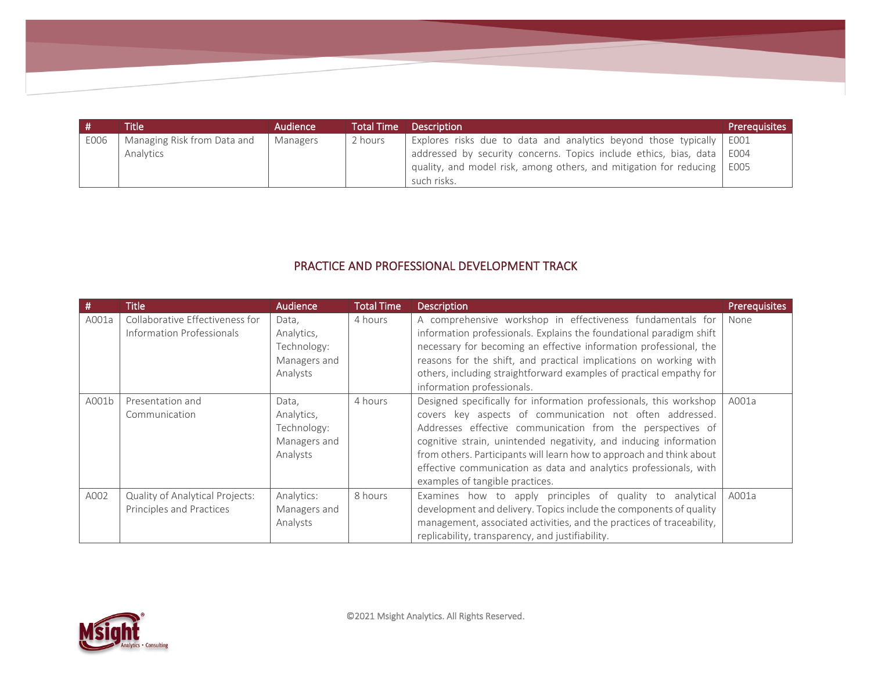|      | <b>Title</b>                | Audience | <b>Total Time</b> | <b>Description</b>                                                        | <b>Prerequisites</b> |
|------|-----------------------------|----------|-------------------|---------------------------------------------------------------------------|----------------------|
| E006 | Managing Risk from Data and | Managers | 2 hours           | Explores risks due to data and analytics beyond those typically   E001    |                      |
|      | Analytics                   |          |                   | addressed by security concerns. Topics include ethics, bias, data   E004  |                      |
|      |                             |          |                   | quality, and model risk, among others, and mitigation for reducing   E005 |                      |
|      |                             |          |                   | such risks.                                                               |                      |

## PRACTICE AND PROFESSIONAL DEVELOPMENT TRACK

| #     | <b>Title</b>                                                 | <b>Audience</b>                                                | <b>Total Time</b> | <b>Description</b>                                                                                                                                                                                                                                                                                                                                                                                                                                | <b>Prerequisites</b> |
|-------|--------------------------------------------------------------|----------------------------------------------------------------|-------------------|---------------------------------------------------------------------------------------------------------------------------------------------------------------------------------------------------------------------------------------------------------------------------------------------------------------------------------------------------------------------------------------------------------------------------------------------------|----------------------|
| A001a | Collaborative Effectiveness for<br>Information Professionals | Data.<br>Analytics,<br>Technology:<br>Managers and<br>Analysts | 4 hours           | A comprehensive workshop in effectiveness fundamentals for<br>information professionals. Explains the foundational paradigm shift<br>necessary for becoming an effective information professional, the<br>reasons for the shift, and practical implications on working with<br>others, including straightforward examples of practical empathy for<br>information professionals.                                                                  | None                 |
| A001b | Presentation and<br>Communication                            | Data,<br>Analytics,<br>Technology:<br>Managers and<br>Analysts | 4 hours           | Designed specifically for information professionals, this workshop<br>covers key aspects of communication not often addressed.<br>Addresses effective communication from the perspectives of<br>cognitive strain, unintended negativity, and inducing information<br>from others. Participants will learn how to approach and think about<br>effective communication as data and analytics professionals, with<br>examples of tangible practices. | A001a                |
| A002  | Quality of Analytical Projects:<br>Principles and Practices  | Analytics:<br>Managers and<br>Analysts                         | 8 hours           | Examines how to apply principles of quality to analytical<br>development and delivery. Topics include the components of quality<br>management, associated activities, and the practices of traceability,<br>replicability, transparency, and justifiability.                                                                                                                                                                                      | A001a                |

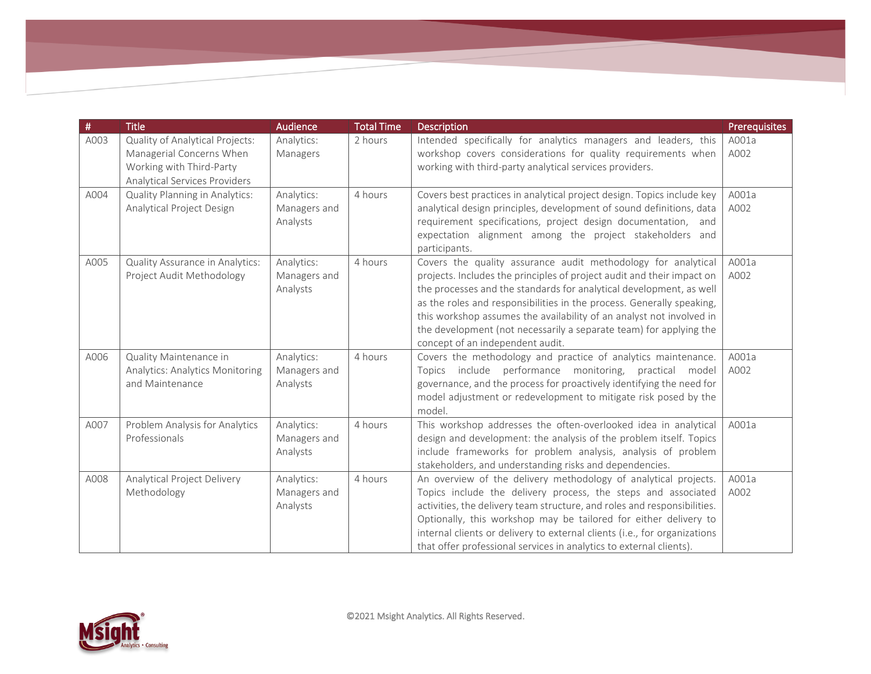| #    | <b>Title</b>                                                                                                             | <b>Audience</b>                        | <b>Total Time</b> | Description                                                                                                                                                                                                                                                                                                                                                                                                                                                               | <b>Prerequisites</b> |
|------|--------------------------------------------------------------------------------------------------------------------------|----------------------------------------|-------------------|---------------------------------------------------------------------------------------------------------------------------------------------------------------------------------------------------------------------------------------------------------------------------------------------------------------------------------------------------------------------------------------------------------------------------------------------------------------------------|----------------------|
| A003 | Quality of Analytical Projects:<br>Managerial Concerns When<br>Working with Third-Party<br>Analytical Services Providers | Analytics:<br>Managers                 | 2 hours           | Intended specifically for analytics managers and leaders, this<br>workshop covers considerations for quality requirements when<br>working with third-party analytical services providers.                                                                                                                                                                                                                                                                                 | A001a<br>A002        |
| A004 | Quality Planning in Analytics:<br>Analytical Project Design                                                              | Analytics:<br>Managers and<br>Analysts | 4 hours           | Covers best practices in analytical project design. Topics include key<br>analytical design principles, development of sound definitions, data<br>requirement specifications, project design documentation, and<br>expectation alignment among the project stakeholders and<br>participants.                                                                                                                                                                              | A001a<br>A002        |
| A005 | Quality Assurance in Analytics:<br>Project Audit Methodology                                                             | Analytics:<br>Managers and<br>Analysts | 4 hours           | Covers the quality assurance audit methodology for analytical<br>projects. Includes the principles of project audit and their impact on<br>the processes and the standards for analytical development, as well<br>as the roles and responsibilities in the process. Generally speaking,<br>this workshop assumes the availability of an analyst not involved in<br>the development (not necessarily a separate team) for applying the<br>concept of an independent audit. | A001a<br>A002        |
| A006 | Quality Maintenance in<br>Analytics: Analytics Monitoring<br>and Maintenance                                             | Analytics:<br>Managers and<br>Analysts | 4 hours           | Covers the methodology and practice of analytics maintenance.<br>Topics include performance monitoring, practical<br>model<br>governance, and the process for proactively identifying the need for<br>model adjustment or redevelopment to mitigate risk posed by the<br>model.                                                                                                                                                                                           | A001a<br>A002        |
| A007 | Problem Analysis for Analytics<br>Professionals                                                                          | Analytics:<br>Managers and<br>Analysts | 4 hours           | This workshop addresses the often-overlooked idea in analytical<br>design and development: the analysis of the problem itself. Topics<br>include frameworks for problem analysis, analysis of problem<br>stakeholders, and understanding risks and dependencies.                                                                                                                                                                                                          | A001a                |
| A008 | Analytical Project Delivery<br>Methodology                                                                               | Analytics:<br>Managers and<br>Analysts | 4 hours           | An overview of the delivery methodology of analytical projects.<br>Topics include the delivery process, the steps and associated<br>activities, the delivery team structure, and roles and responsibilities.<br>Optionally, this workshop may be tailored for either delivery to<br>internal clients or delivery to external clients (i.e., for organizations<br>that offer professional services in analytics to external clients).                                      | A001a<br>A002        |